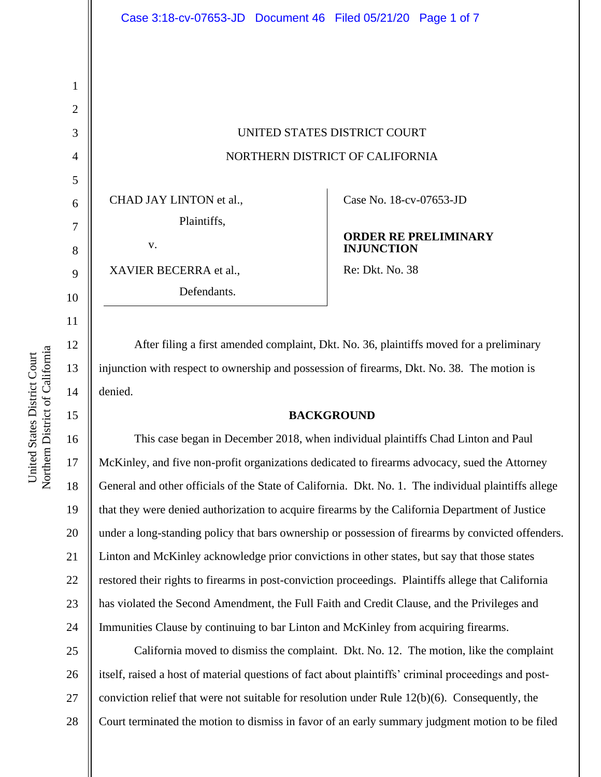# UNITED STATES DISTRICT COURT NORTHERN DISTRICT OF CALIFORNIA

CHAD JAY LINTON et al., Plaintiffs,

v.

XAVIER BECERRA et al.,

Defendants.

Case No. 18-cv-07653-JD

## **ORDER RE PRELIMINARY INJUNCTION**

Re: Dkt. No. 38

After filing a first amended complaint, Dkt. No. 36, plaintiffs moved for a preliminary injunction with respect to ownership and possession of firearms, Dkt. No. 38. The motion is denied.

# **BACKGROUND**

This case began in December 2018, when individual plaintiffs Chad Linton and Paul McKinley, and five non-profit organizations dedicated to firearms advocacy, sued the Attorney General and other officials of the State of California. Dkt. No. 1. The individual plaintiffs allege that they were denied authorization to acquire firearms by the California Department of Justice under a long-standing policy that bars ownership or possession of firearms by convicted offenders. Linton and McKinley acknowledge prior convictions in other states, but say that those states restored their rights to firearms in post-conviction proceedings. Plaintiffs allege that California has violated the Second Amendment, the Full Faith and Credit Clause, and the Privileges and Immunities Clause by continuing to bar Linton and McKinley from acquiring firearms.

25 26 27 28 California moved to dismiss the complaint. Dkt. No. 12. The motion, like the complaint itself, raised a host of material questions of fact about plaintiffs' criminal proceedings and postconviction relief that were not suitable for resolution under Rule 12(b)(6). Consequently, the Court terminated the motion to dismiss in favor of an early summary judgment motion to be filed

1

2

3

4

5

6

7

8

9

10

11

12

13

14

15

16

17

18

19

20

21

22

23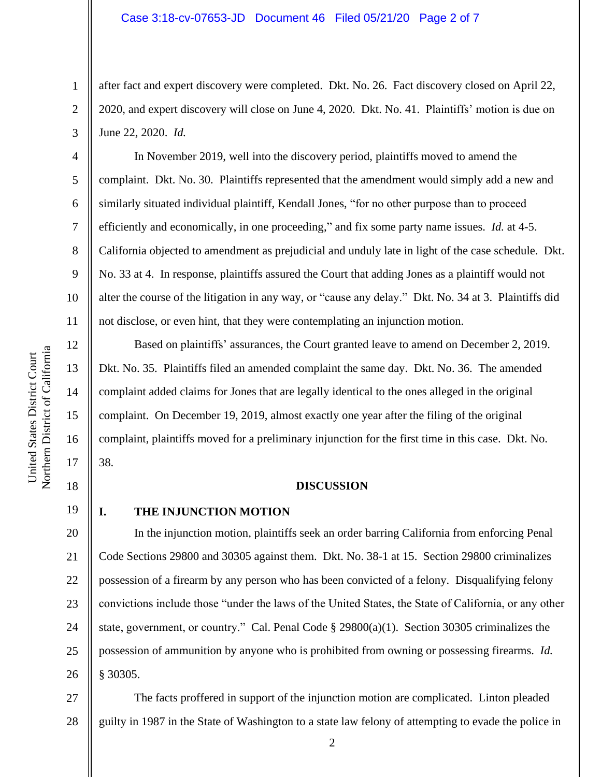after fact and expert discovery were completed. Dkt. No. 26. Fact discovery closed on April 22, 2020, and expert discovery will close on June 4, 2020. Dkt. No. 41. Plaintiffs' motion is due on June 22, 2020. *Id.* 

In November 2019, well into the discovery period, plaintiffs moved to amend the complaint. Dkt. No. 30. Plaintiffs represented that the amendment would simply add a new and similarly situated individual plaintiff, Kendall Jones, "for no other purpose than to proceed efficiently and economically, in one proceeding," and fix some party name issues. *Id.* at 4-5. California objected to amendment as prejudicial and unduly late in light of the case schedule. Dkt. No. 33 at 4. In response, plaintiffs assured the Court that adding Jones as a plaintiff would not alter the course of the litigation in any way, or "cause any delay." Dkt. No. 34 at 3. Plaintiffs did not disclose, or even hint, that they were contemplating an injunction motion.

Based on plaintiffs' assurances, the Court granted leave to amend on December 2, 2019. Dkt. No. 35. Plaintiffs filed an amended complaint the same day. Dkt. No. 36. The amended complaint added claims for Jones that are legally identical to the ones alleged in the original complaint. On December 19, 2019, almost exactly one year after the filing of the original complaint, plaintiffs moved for a preliminary injunction for the first time in this case. Dkt. No. 38.

#### **DISCUSSION**

19

1

2

3

4

5

6

7

8

9

10

11

12

13

14

15

16

17

18

21

23

24

25

# **I. THE INJUNCTION MOTION**

20 22 26 In the injunction motion, plaintiffs seek an order barring California from enforcing Penal Code Sections 29800 and 30305 against them. Dkt. No. 38-1 at 15. Section 29800 criminalizes possession of a firearm by any person who has been convicted of a felony. Disqualifying felony convictions include those "under the laws of the United States, the State of California, or any other state, government, or country." Cal. Penal Code § 29800(a)(1). Section 30305 criminalizes the possession of ammunition by anyone who is prohibited from owning or possessing firearms. *Id.* § 30305.

27 28 The facts proffered in support of the injunction motion are complicated. Linton pleaded guilty in 1987 in the State of Washington to a state law felony of attempting to evade the police in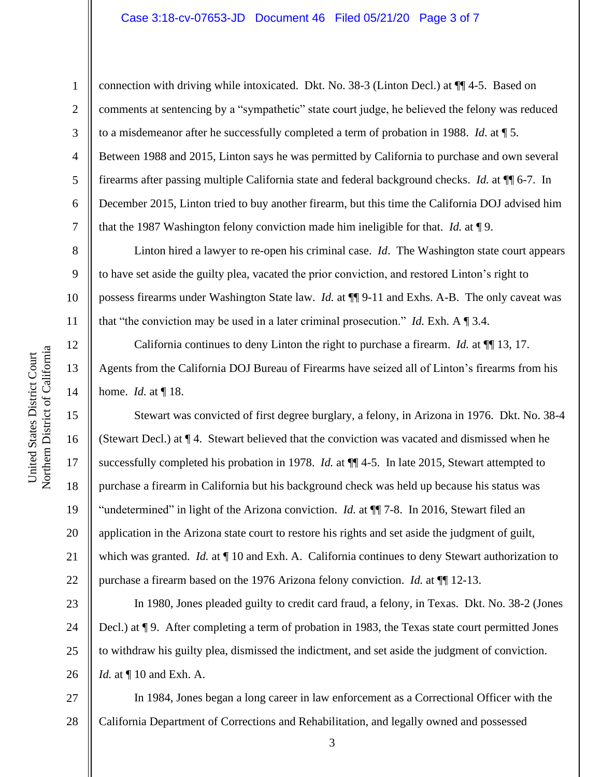#### Case 3:18-cv-07653-JD Document 46 Filed 05/21/20 Page 3 of 7

connection with driving while intoxicated. Dkt. No. 38-3 (Linton Decl.) at ¶¶ 4-5. Based on

2 3 4 5 6 7 8 9 10 comments at sentencing by a "sympathetic" state court judge, he believed the felony was reduced to a misdemeanor after he successfully completed a term of probation in 1988. *Id*. at ¶ 5. Between 1988 and 2015, Linton says he was permitted by California to purchase and own several firearms after passing multiple California state and federal background checks. *Id.* at ¶¶ 6-7. In December 2015, Linton tried to buy another firearm, but this time the California DOJ advised him that the 1987 Washington felony conviction made him ineligible for that. *Id.* at ¶ 9. Linton hired a lawyer to re-open his criminal case. *Id*. The Washington state court appears

to have set aside the guilty plea, vacated the prior conviction, and restored Linton's right to possess firearms under Washington State law. *Id.* at ¶¶ 9-11 and Exhs. A-B. The only caveat was that "the conviction may be used in a later criminal prosecution." *Id.* Exh. A ¶ 3.4.

California continues to deny Linton the right to purchase a firearm. *Id.* at ¶¶ 13, 17. Agents from the California DOJ Bureau of Firearms have seized all of Linton's firearms from his home. *Id.* at ¶ 18.

Stewart was convicted of first degree burglary, a felony, in Arizona in 1976. Dkt. No. 38-4 (Stewart Decl.) at ¶ 4. Stewart believed that the conviction was vacated and dismissed when he successfully completed his probation in 1978. *Id.* at ¶¶ 4-5. In late 2015, Stewart attempted to purchase a firearm in California but his background check was held up because his status was "undetermined" in light of the Arizona conviction. *Id.* at ¶¶ 7-8. In 2016, Stewart filed an application in the Arizona state court to restore his rights and set aside the judgment of guilt, which was granted. *Id.* at  $\P$  10 and Exh. A. California continues to deny Stewart authorization to purchase a firearm based on the 1976 Arizona felony conviction. *Id.* at ¶¶ 12-13.

23 24 25 26 In 1980, Jones pleaded guilty to credit card fraud, a felony, in Texas. Dkt. No. 38-2 (Jones Decl.) at ¶ 9. After completing a term of probation in 1983, the Texas state court permitted Jones to withdraw his guilty plea, dismissed the indictment, and set aside the judgment of conviction. *Id.* at  $\P$  10 and Exh. A.

27 28 In 1984, Jones began a long career in law enforcement as a Correctional Officer with the California Department of Corrections and Rehabilitation, and legally owned and possessed

1

11

12

13

14

15

16

17

18

19

20

21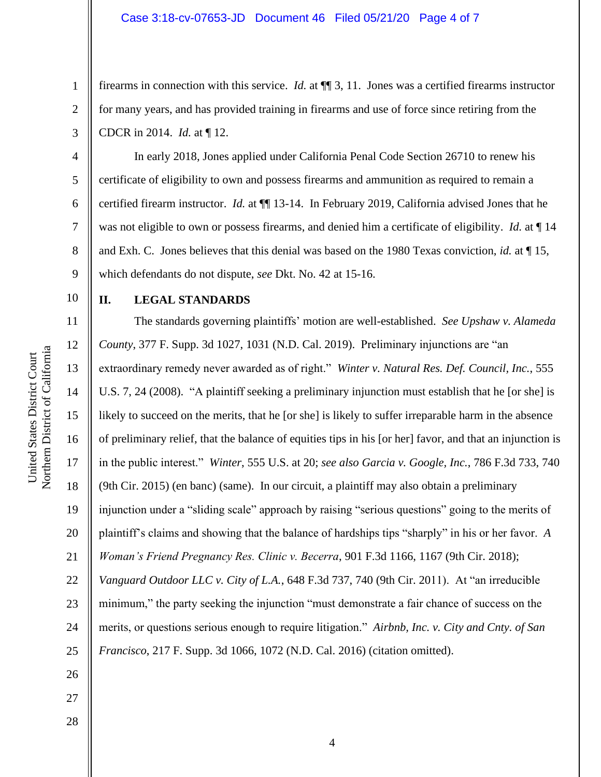firearms in connection with this service. *Id.* at ¶¶ 3, 11. Jones was a certified firearms instructor for many years, and has provided training in firearms and use of force since retiring from the CDCR in 2014. *Id.* at ¶ 12.

In early 2018, Jones applied under California Penal Code Section 26710 to renew his certificate of eligibility to own and possess firearms and ammunition as required to remain a certified firearm instructor. *Id.* at ¶¶ 13-14. In February 2019, California advised Jones that he was not eligible to own or possess firearms, and denied him a certificate of eligibility. *Id.* at ¶ 14 and Exh. C. Jones believes that this denial was based on the 1980 Texas conviction, *id.* at ¶ 15, which defendants do not dispute, *see* Dkt. No. 42 at 15-16.

#### 10

1

2

3

4

5

6

7

8

9

27

28

## **II. LEGAL STANDARDS**

11 12 13 14 15 16 17 18 19 20 21 22 23 24 25 26 The standards governing plaintiffs' motion are well-established. *See Upshaw v. Alameda County*, 377 F. Supp. 3d 1027, 1031 (N.D. Cal. 2019). Preliminary injunctions are "an extraordinary remedy never awarded as of right." *Winter v. Natural Res. Def. Council, Inc.*, 555 U.S. 7, 24 (2008). "A plaintiff seeking a preliminary injunction must establish that he [or she] is likely to succeed on the merits, that he [or she] is likely to suffer irreparable harm in the absence of preliminary relief, that the balance of equities tips in his [or her] favor, and that an injunction is in the public interest." *Winter*, 555 U.S. at 20; *see also Garcia v. Google, Inc.*, 786 F.3d 733, 740 (9th Cir. 2015) (en banc) (same). In our circuit, a plaintiff may also obtain a preliminary injunction under a "sliding scale" approach by raising "serious questions" going to the merits of plaintiff's claims and showing that the balance of hardships tips "sharply" in his or her favor. *A Woman's Friend Pregnancy Res. Clinic v. Becerra*, 901 F.3d 1166, 1167 (9th Cir. 2018); *Vanguard Outdoor LLC v. City of L.A.*, 648 F.3d 737, 740 (9th Cir. 2011). At "an irreducible minimum," the party seeking the injunction "must demonstrate a fair chance of success on the merits, or questions serious enough to require litigation." *Airbnb, Inc. v. City and Cnty. of San Francisco*, 217 F. Supp. 3d 1066, 1072 (N.D. Cal. 2016) (citation omitted).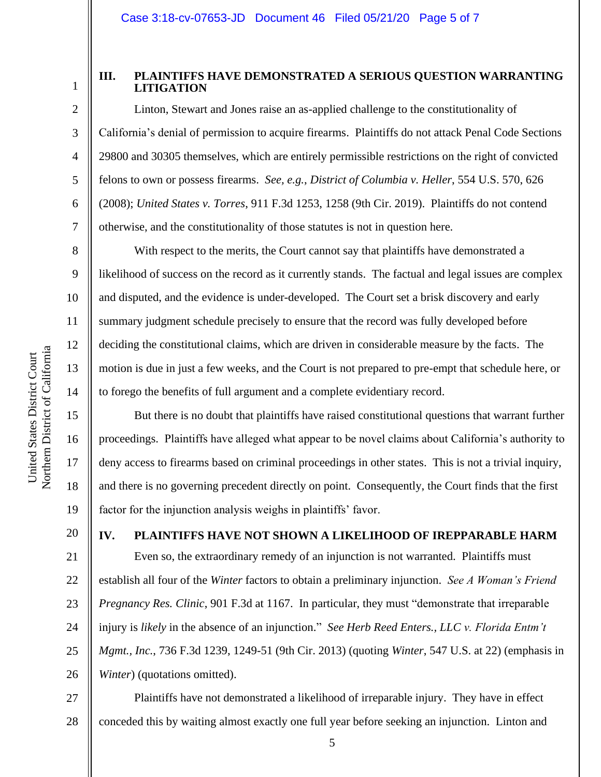1

2

3

4

5

6

7

8

9

10

11

12

13

14

15

16

17

18

19

20

## **III. PLAINTIFFS HAVE DEMONSTRATED A SERIOUS QUESTION WARRANTING LITIGATION**

Linton, Stewart and Jones raise an as-applied challenge to the constitutionality of California's denial of permission to acquire firearms. Plaintiffs do not attack Penal Code Sections 29800 and 30305 themselves, which are entirely permissible restrictions on the right of convicted felons to own or possess firearms. *See, e.g.*, *District of Columbia v. Heller*, 554 U.S. 570, 626 (2008); *United States v. Torres*, 911 F.3d 1253, 1258 (9th Cir. 2019). Plaintiffs do not contend otherwise, and the constitutionality of those statutes is not in question here.

With respect to the merits, the Court cannot say that plaintiffs have demonstrated a likelihood of success on the record as it currently stands. The factual and legal issues are complex and disputed, and the evidence is under-developed. The Court set a brisk discovery and early summary judgment schedule precisely to ensure that the record was fully developed before deciding the constitutional claims, which are driven in considerable measure by the facts. The motion is due in just a few weeks, and the Court is not prepared to pre-empt that schedule here, or to forego the benefits of full argument and a complete evidentiary record.

But there is no doubt that plaintiffs have raised constitutional questions that warrant further proceedings. Plaintiffs have alleged what appear to be novel claims about California's authority to deny access to firearms based on criminal proceedings in other states. This is not a trivial inquiry, and there is no governing precedent directly on point. Consequently, the Court finds that the first factor for the injunction analysis weighs in plaintiffs' favor.

# **IV. PLAINTIFFS HAVE NOT SHOWN A LIKELIHOOD OF IREPPARABLE HARM**

21 22 23 24 25 26 Even so, the extraordinary remedy of an injunction is not warranted. Plaintiffs must establish all four of the *Winter* factors to obtain a preliminary injunction. *See A Woman's Friend Pregnancy Res. Clinic*, 901 F.3d at 1167. In particular, they must "demonstrate that irreparable injury is *likely* in the absence of an injunction." *See Herb Reed Enters., LLC v. Florida Entm't Mgmt., Inc.*, 736 F.3d 1239, 1249-51 (9th Cir. 2013) (quoting *Winter*, 547 U.S. at 22) (emphasis in *Winter*) (quotations omitted).

27 28 Plaintiffs have not demonstrated a likelihood of irreparable injury. They have in effect conceded this by waiting almost exactly one full year before seeking an injunction. Linton and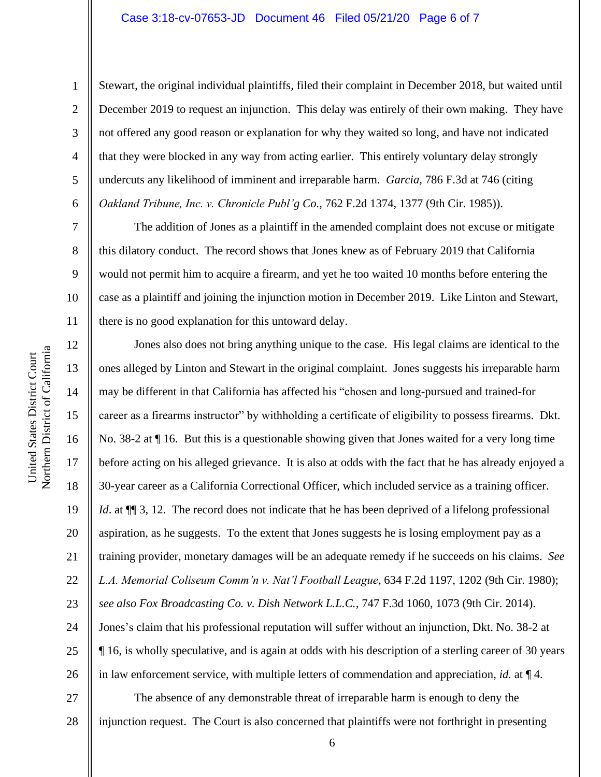Stewart, the original individual plaintiffs, filed their complaint in December 2018, but waited until December 2019 to request an injunction. This delay was entirely of their own making. They have not offered any good reason or explanation for why they waited so long, and have not indicated that they were blocked in any way from acting earlier. This entirely voluntary delay strongly undercuts any likelihood of imminent and irreparable harm. *Garcia*, 786 F.3d at 746 (citing *Oakland Tribune, Inc. v. Chronicle Publ'g Co.*, 762 F.2d 1374, 1377 (9th Cir. 1985)).

The addition of Jones as a plaintiff in the amended complaint does not excuse or mitigate this dilatory conduct. The record shows that Jones knew as of February 2019 that California would not permit him to acquire a firearm, and yet he too waited 10 months before entering the case as a plaintiff and joining the injunction motion in December 2019. Like Linton and Stewart, there is no good explanation for this untoward delay.

12 13 14 15 16 17 18 19 20 21 22 23 24 25 26 27 Jones also does not bring anything unique to the case. His legal claims are identical to the ones alleged by Linton and Stewart in the original complaint. Jones suggests his irreparable harm may be different in that California has affected his "chosen and long-pursued and trained-for career as a firearms instructor" by withholding a certificate of eligibility to possess firearms. Dkt. No. 38-2 at ¶ 16. But this is a questionable showing given that Jones waited for a very long time before acting on his alleged grievance. It is also at odds with the fact that he has already enjoyed a 30-year career as a California Correctional Officer, which included service as a training officer. *Id.* at  $\P$  3, 12. The record does not indicate that he has been deprived of a lifelong professional aspiration, as he suggests. To the extent that Jones suggests he is losing employment pay as a training provider, monetary damages will be an adequate remedy if he succeeds on his claims. *See L.A. Memorial Coliseum Comm'n v. Nat'l Football League*, 634 F.2d 1197, 1202 (9th Cir. 1980); *see also Fox Broadcasting Co. v. Dish Network L.L.C.*, 747 F.3d 1060, 1073 (9th Cir. 2014). Jones's claim that his professional reputation will suffer without an injunction, Dkt. No. 38-2 at ¶ 16, is wholly speculative, and is again at odds with his description of a sterling career of 30 years in law enforcement service, with multiple letters of commendation and appreciation, *id.* at ¶ 4. The absence of any demonstrable threat of irreparable harm is enough to deny the

28 injunction request. The Court is also concerned that plaintiffs were not forthright in presenting

1

2

3

4

5

6

7

8

9

10

11